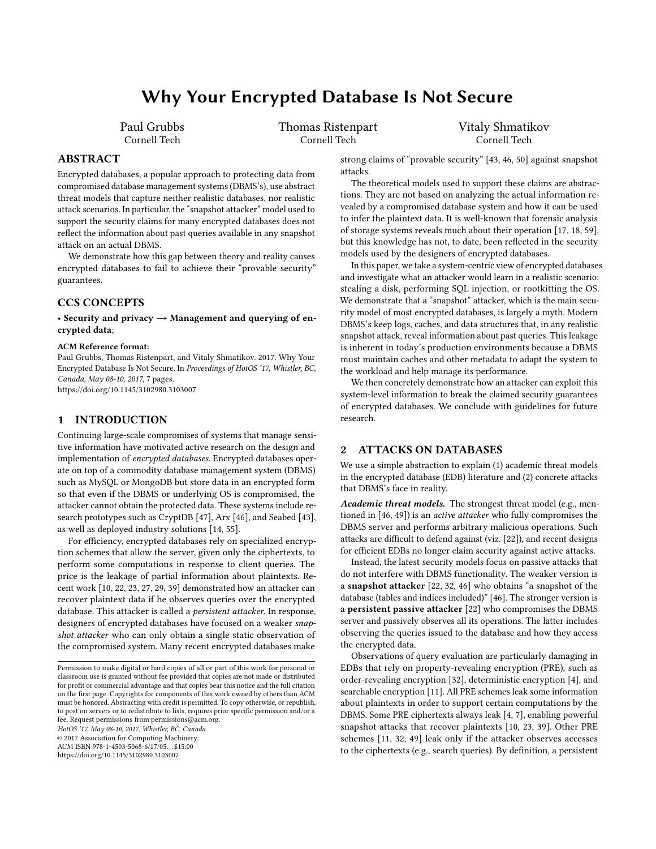# Why Your Encrypted Database Is Not Secure

<span id="page-0-0"></span>Paul Grubbs Cornell Tech

Thomas Ristenpart Cornell Tech

Vitaly Shmatikov Cornell Tech

# ABSTRACT

Encrypted databases, a popular approach to protecting data from compromised database management systems (DBMS's), use abstract threat models that capture neither realistic databases, nor realistic attack scenarios. In particular, the "snapshot attacker" model used to support the security claims for many encrypted databases does not reflect the information about past queries available in any snapshot attack on an actual DBMS.

We demonstrate how this gap between theory and reality causes encrypted databases to fail to achieve their "provable security" guarantees.

# CCS CONCEPTS

• Security and privacy  $\rightarrow$  Management and querying of encrypted data;

#### ACM Reference format:

Paul Grubbs, Thomas Ristenpart, and Vitaly Shmatikov. 2017. Why Your Encrypted Database Is Not Secure. In Proceedings of HotOS '17, Whistler, BC, Canada, May 08-10, 2017, [7](#page-0-0) pages. <https://doi.org/10.1145/3102980.3103007>

# 1 INTRODUCTION

Continuing large-scale compromises of systems that manage sensitive information have motivated active research on the design and implementation of encrypted databases. Encrypted databases operate on top of a commodity database management system (DBMS) such as MySQL or MongoDB but store data in an encrypted form so that even if the DBMS or underlying OS is compromised, the attacker cannot obtain the protected data. These systems include research prototypes such as CryptDB [\[47\]](#page-6-0), Arx [\[46\]](#page-6-1), and Seabed [\[43\]](#page-6-2), as well as deployed industry solutions [\[14,](#page-5-0) [55\]](#page-6-3).

For efficiency, encrypted databases rely on specialized encryption schemes that allow the server, given only the ciphertexts, to perform some computations in response to client queries. The price is the leakage of partial information about plaintexts. Recent work [\[10,](#page-5-1) [22,](#page-6-4) [23,](#page-6-5) [27,](#page-6-6) [29,](#page-6-7) [39\]](#page-6-8) demonstrated how an attacker can recover plaintext data if he observes queries over the encrypted database. This attacker is called a persistent attacker. In response, designers of encrypted databases have focused on a weaker snapshot attacker who can only obtain a single static observation of the compromised system. Many recent encrypted databases make

HotOS '17, May 08-10, 2017, Whistler, BC, Canada

© 2017 Association for Computing Machinery.

ACM ISBN 978-1-4503-5068-6/17/05. . . \$15.00

<https://doi.org/10.1145/3102980.3103007>

attacks. The theoretical models used to support these claims are abstractions. They are not based on analyzing the actual information revealed by a compromised database system and how it can be used to infer the plaintext data. It is well-known that forensic analysis of storage systems reveals much about their operation [\[17,](#page-6-10) [18,](#page-6-11) [59\]](#page-6-12),

but this knowledge has not, to date, been reflected in the security

strong claims of "provable security" [\[43,](#page-6-2) [46,](#page-6-1) [50\]](#page-6-9) against snapshot

models used by the designers of encrypted databases. In this paper, we take a system-centric view of encrypted databases and investigate what an attacker would learn in a realistic scenario: stealing a disk, performing SQL injection, or rootkitting the OS. We demonstrate that a "snapshot" attacker, which is the main security model of most encrypted databases, is largely a myth. Modern DBMS's keep logs, caches, and data structures that, in any realistic snapshot attack, reveal information about past queries. This leakage is inherent in today's production environments because a DBMS must maintain caches and other metadata to adapt the system to the workload and help manage its performance.

We then concretely demonstrate how an attacker can exploit this system-level information to break the claimed security guarantees of encrypted databases. We conclude with guidelines for future research.

#### 2 ATTACKS ON DATABASES

We use a simple abstraction to explain (1) academic threat models in the encrypted database (EDB) literature and (2) concrete attacks that DBMS's face in reality.

Academic threat models. The strongest threat model (e.g., mentioned in [\[46,](#page-6-1) [49\]](#page-6-13)) is an active attacker who fully compromises the DBMS server and performs arbitrary malicious operations. Such attacks are difficult to defend against (viz. [\[22\]](#page-6-4)), and recent designs for efficient EDBs no longer claim security against active attacks.

Instead, the latest security models focus on passive attacks that do not interfere with DBMS functionality. The weaker version is a snapshot attacker [\[22,](#page-6-4) [32,](#page-6-14) [46\]](#page-6-1) who obtains "a snapshot of the database (tables and indices included)" [\[46\]](#page-6-1). The stronger version is a persistent passive attacker [\[22\]](#page-6-4) who compromises the DBMS server and passively observes all its operations. The latter includes observing the queries issued to the database and how they access the encrypted data.

Observations of query evaluation are particularly damaging in EDBs that rely on property-revealing encryption (PRE), such as order-revealing encryption [\[32\]](#page-6-14), deterministic encryption [\[4\]](#page-5-2), and searchable encryption [\[11\]](#page-5-3). All PRE schemes leak some information about plaintexts in order to support certain computations by the DBMS. Some PRE ciphertexts always leak [\[4,](#page-5-2) [7\]](#page-5-4), enabling powerful snapshot attacks that recover plaintexts [\[10,](#page-5-1) [23,](#page-6-5) [39\]](#page-6-8). Other PRE schemes [\[11,](#page-5-3) [32,](#page-6-14) [49\]](#page-6-13) leak only if the attacker observes accesses to the ciphertexts (e.g., search queries). By definition, a persistent

Permission to make digital or hard copies of all or part of this work for personal or classroom use is granted without fee provided that copies are not made or distributed for profit or commercial advantage and that copies bear this notice and the full citation on the first page. Copyrights for components of this work owned by others than ACM must be honored. Abstracting with credit is permitted. To copy otherwise, or republish, to post on servers or to redistribute to lists, requires prior specific permission and/or a fee. Request permissions from permissions@acm.org.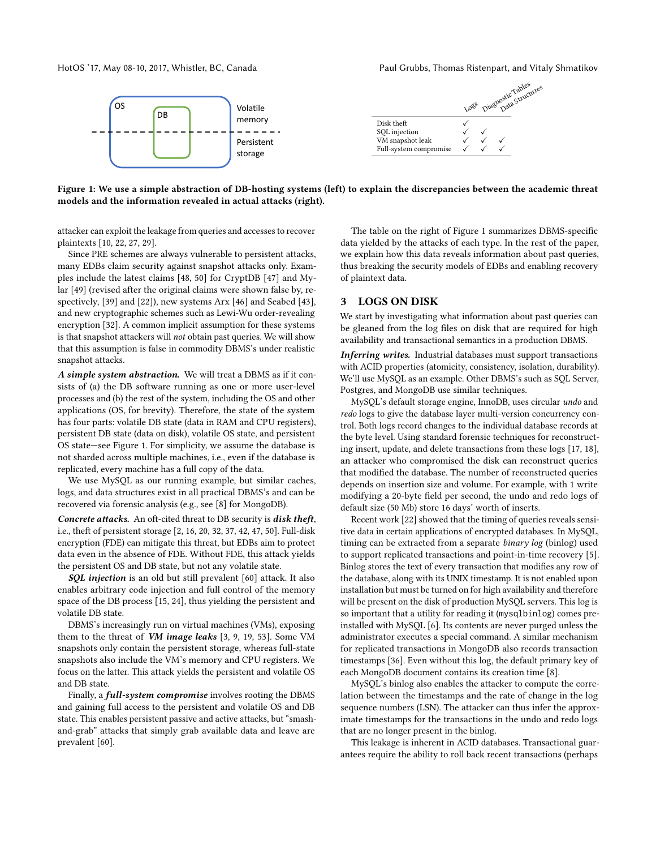<span id="page-1-0"></span>

HotOS '17, May 08-10, 2017, Whistler, BC, Canada Paul Grubbs, Thomas Ristenpart, and Vitaly Shmatikov



Figure 1: We use a simple abstraction of DB-hosting systems (left) to explain the discrepancies between the academic threat models and the information revealed in actual attacks (right).

attacker can exploit the leakage from queries and accesses to recover plaintexts [\[10,](#page-5-1) [22,](#page-6-4) [27,](#page-6-6) [29\]](#page-6-7).

Since PRE schemes are always vulnerable to persistent attacks, many EDBs claim security against snapshot attacks only. Examples include the latest claims [\[48,](#page-6-15) [50\]](#page-6-9) for CryptDB [\[47\]](#page-6-0) and Mylar [\[49\]](#page-6-13) (revised after the original claims were shown false by, respectively, [\[39\]](#page-6-8) and [\[22\]](#page-6-4)), new systems Arx [\[46\]](#page-6-1) and Seabed [\[43\]](#page-6-2), and new cryptographic schemes such as Lewi-Wu order-revealing encryption [\[32\]](#page-6-14). A common implicit assumption for these systems is that snapshot attackers will not obtain past queries. We will show that this assumption is false in commodity DBMS's under realistic snapshot attacks.

A simple system abstraction. We will treat a DBMS as if it consists of (a) the DB software running as one or more user-level processes and (b) the rest of the system, including the OS and other applications (OS, for brevity). Therefore, the state of the system has four parts: volatile DB state (data in RAM and CPU registers), persistent DB state (data on disk), volatile OS state, and persistent OS state—see [Figure 1.](#page-1-0) For simplicity, we assume the database is not sharded across multiple machines, i.e., even if the database is replicated, every machine has a full copy of the data.

We use MySQL as our running example, but similar caches, logs, and data structures exist in all practical DBMS's and can be recovered via forensic analysis (e.g., see [\[8\]](#page-5-5) for MongoDB).

Concrete attacks. An oft-cited threat to DB security is disk theft, i.e., theft of persistent storage [\[2,](#page-5-6) [16,](#page-6-16) [20,](#page-6-17) [32,](#page-6-14) [37,](#page-6-18) [42,](#page-6-19) [47,](#page-6-0) [50\]](#page-6-9). Full-disk encryption (FDE) can mitigate this threat, but EDBs aim to protect data even in the absence of FDE. Without FDE, this attack yields the persistent OS and DB state, but not any volatile state.

SQL injection is an old but still prevalent [\[60\]](#page-6-20) attack. It also enables arbitrary code injection and full control of the memory space of the DB process [\[15,](#page-5-7) [24\]](#page-6-21), thus yielding the persistent and volatile DB state.

DBMS's increasingly run on virtual machines (VMs), exposing them to the threat of VM image leaks [\[3,](#page-5-8) [9,](#page-5-9) [19,](#page-6-22) [53\]](#page-6-23). Some VM snapshots only contain the persistent storage, whereas full-state snapshots also include the VM's memory and CPU registers. We focus on the latter. This attack yields the persistent and volatile OS and DB state.

Finally, a *full-system compromise* involves rooting the DBMS and gaining full access to the persistent and volatile OS and DB state. This enables persistent passive and active attacks, but "smashand-grab" attacks that simply grab available data and leave are prevalent [\[60\]](#page-6-20).

The table on the right of [Figure 1](#page-1-0) summarizes DBMS-specific data yielded by the attacks of each type. In the rest of the paper, we explain how this data reveals information about past queries, thus breaking the security models of EDBs and enabling recovery of plaintext data.

# 3 LOGS ON DISK

We start by investigating what information about past queries can be gleaned from the log files on disk that are required for high availability and transactional semantics in a production DBMS.

Inferring writes. Industrial databases must support transactions with ACID properties (atomicity, consistency, isolation, durability). We'll use MySQL as an example. Other DBMS's such as SQL Server, Postgres, and MongoDB use similar techniques.

MySQL's default storage engine, InnoDB, uses circular undo and redo logs to give the database layer multi-version concurrency control. Both logs record changes to the individual database records at the byte level. Using standard forensic techniques for reconstructing insert, update, and delete transactions from these logs [\[17,](#page-6-10) [18\]](#page-6-11), an attacker who compromised the disk can reconstruct queries that modified the database. The number of reconstructed queries depends on insertion size and volume. For example, with 1 write modifying a 20-byte field per second, the undo and redo logs of default size (50 Mb) store 16 days' worth of inserts.

Recent work [\[22\]](#page-6-4) showed that the timing of queries reveals sensitive data in certain applications of encrypted databases. In MySQL, timing can be extracted from a separate binary log (binlog) used to support replicated transactions and point-in-time recovery [\[5\]](#page-5-10). Binlog stores the text of every transaction that modifies any row of the database, along with its UNIX timestamp. It is not enabled upon installation but must be turned on for high availability and therefore will be present on the disk of production MySQL servers. This log is so important that a utility for reading it (mysqlbinlog) comes preinstalled with MySQL [\[6\]](#page-5-11). Its contents are never purged unless the administrator executes a special command. A similar mechanism for replicated transactions in MongoDB also records transaction timestamps [\[36\]](#page-6-24). Even without this log, the default primary key of each MongoDB document contains its creation time [\[8\]](#page-5-5).

MySQL's binlog also enables the attacker to compute the correlation between the timestamps and the rate of change in the log sequence numbers (LSN). The attacker can thus infer the approximate timestamps for the transactions in the undo and redo logs that are no longer present in the binlog.

This leakage is inherent in ACID databases. Transactional guarantees require the ability to roll back recent transactions (perhaps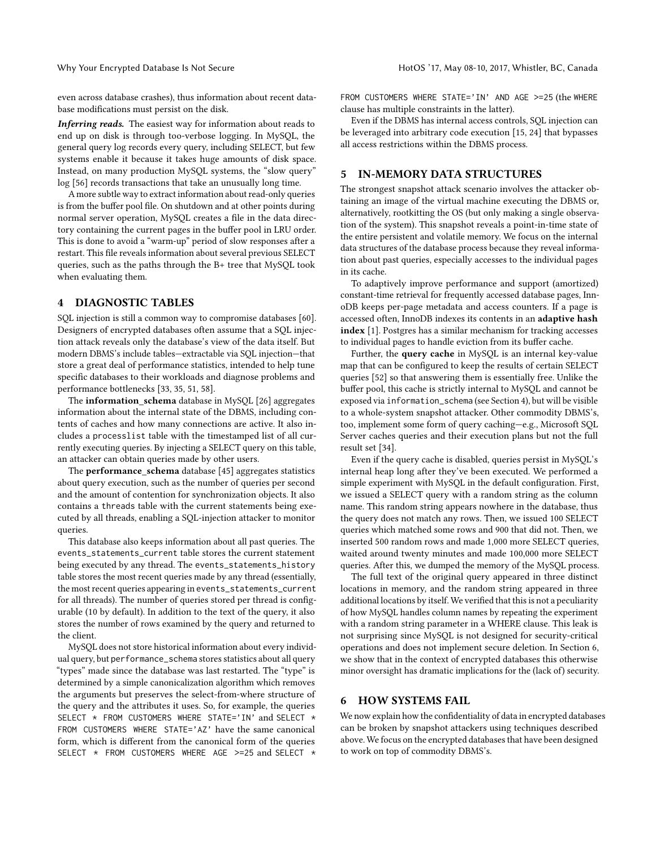even across database crashes), thus information about recent database modifications must persist on the disk.

Inferring reads. The easiest way for information about reads to end up on disk is through too-verbose logging. In MySQL, the general query log records every query, including SELECT, but few systems enable it because it takes huge amounts of disk space. Instead, on many production MySQL systems, the "slow query" log [\[56\]](#page-6-25) records transactions that take an unusually long time.

A more subtle way to extract information about read-only queries is from the buffer pool file. On shutdown and at other points during normal server operation, MySQL creates a file in the data directory containing the current pages in the buffer pool in LRU order. This is done to avoid a "warm-up" period of slow responses after a restart. This file reveals information about several previous SELECT queries, such as the paths through the B+ tree that MySQL took when evaluating them.

#### <span id="page-2-0"></span>4 DIAGNOSTIC TABLES

SQL injection is still a common way to compromise databases [\[60\]](#page-6-20). Designers of encrypted databases often assume that a SQL injection attack reveals only the database's view of the data itself. But modern DBMS's include tables—extractable via SQL injection—that store a great deal of performance statistics, intended to help tune specific databases to their workloads and diagnose problems and performance bottlenecks [\[33,](#page-6-26) [35,](#page-6-27) [51,](#page-6-28) [58\]](#page-6-29).

The information\_schema database in MySQL [\[26\]](#page-6-30) aggregates information about the internal state of the DBMS, including contents of caches and how many connections are active. It also includes a processlist table with the timestamped list of all currently executing queries. By injecting a SELECT query on this table, an attacker can obtain queries made by other users.

The performance\_schema database [\[45\]](#page-6-31) aggregates statistics about query execution, such as the number of queries per second and the amount of contention for synchronization objects. It also contains a threads table with the current statements being executed by all threads, enabling a SQL-injection attacker to monitor queries.

This database also keeps information about all past queries. The events\_statements\_current table stores the current statement being executed by any thread. The events\_statements\_history table stores the most recent queries made by any thread (essentially, the most recent queries appearing in events\_statements\_current for all threads). The number of queries stored per thread is configurable (10 by default). In addition to the text of the query, it also stores the number of rows examined by the query and returned to the client.

MySQL does not store historical information about every individual query, but performance\_schema stores statistics about all query "types" made since the database was last restarted. The "type" is determined by a simple canonicalization algorithm which removes the arguments but preserves the select-from-where structure of the query and the attributes it uses. So, for example, the queries SELECT \* FROM CUSTOMERS WHERE STATE='IN' and SELECT \* FROM CUSTOMERS WHERE STATE='AZ' have the same canonical form, which is different from the canonical form of the queries SELECT \* FROM CUSTOMERS WHERE AGE >=25 and SELECT \*

FROM CUSTOMERS WHERE STATE='IN' AND AGE >=25 (the WHERE clause has multiple constraints in the latter).

Even if the DBMS has internal access controls, SQL injection can be leveraged into arbitrary code execution [\[15,](#page-5-7) [24\]](#page-6-21) that bypasses all access restrictions within the DBMS process.

# <span id="page-2-2"></span>5 IN-MEMORY DATA STRUCTURES

The strongest snapshot attack scenario involves the attacker obtaining an image of the virtual machine executing the DBMS or, alternatively, rootkitting the OS (but only making a single observation of the system). This snapshot reveals a point-in-time state of the entire persistent and volatile memory. We focus on the internal data structures of the database process because they reveal information about past queries, especially accesses to the individual pages in its cache.

To adaptively improve performance and support (amortized) constant-time retrieval for frequently accessed database pages, InnoDB keeps per-page metadata and access counters. If a page is accessed often, InnoDB indexes its contents in an adaptive hash index [\[1\]](#page-5-12). Postgres has a similar mechanism for tracking accesses to individual pages to handle eviction from its buffer cache.

Further, the query cache in MySQL is an internal key-value map that can be configured to keep the results of certain SELECT queries [\[52\]](#page-6-32) so that answering them is essentially free. Unlike the buffer pool, this cache is strictly internal to MySQL and cannot be exposed via information\_schema (see Section [4\)](#page-2-0), but will be visible to a whole-system snapshot attacker. Other commodity DBMS's, too, implement some form of query caching—e.g., Microsoft SQL Server caches queries and their execution plans but not the full result set [\[34\]](#page-6-33).

Even if the query cache is disabled, queries persist in MySQL's internal heap long after they've been executed. We performed a simple experiment with MySQL in the default configuration. First, we issued a SELECT query with a random string as the column name. This random string appears nowhere in the database, thus the query does not match any rows. Then, we issued 100 SELECT queries which matched some rows and 900 that did not. Then, we inserted 500 random rows and made 1,000 more SELECT queries, waited around twenty minutes and made 100,000 more SELECT queries. After this, we dumped the memory of the MySQL process.

The full text of the original query appeared in three distinct locations in memory, and the random string appeared in three additional locations by itself. We verified that this is not a peculiarity of how MySQL handles column names by repeating the experiment with a random string parameter in a WHERE clause. This leak is not surprising since MySQL is not designed for security-critical operations and does not implement secure deletion. In Section [6,](#page-2-1) we show that in the context of encrypted databases this otherwise minor oversight has dramatic implications for the (lack of) security.

# <span id="page-2-1"></span>6 HOW SYSTEMS FAIL

We now explain how the confidentiality of data in encrypted databases can be broken by snapshot attackers using techniques described above. We focus on the encrypted databases that have been designed to work on top of commodity DBMS's.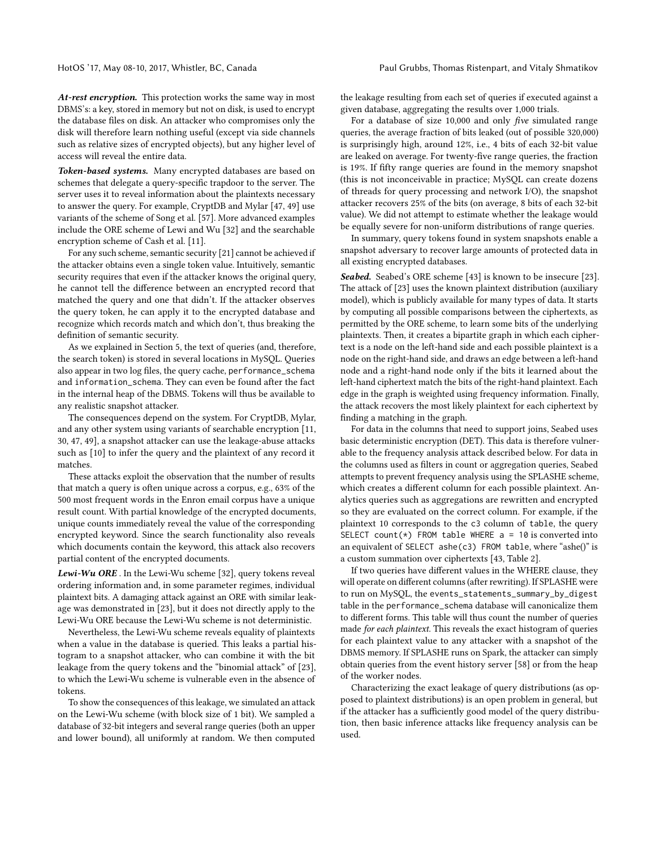At-rest encryption. This protection works the same way in most DBMS's: a key, stored in memory but not on disk, is used to encrypt the database files on disk. An attacker who compromises only the disk will therefore learn nothing useful (except via side channels such as relative sizes of encrypted objects), but any higher level of access will reveal the entire data.

Token-based systems. Many encrypted databases are based on schemes that delegate a query-specific trapdoor to the server. The server uses it to reveal information about the plaintexts necessary to answer the query. For example, CryptDB and Mylar [\[47,](#page-6-0) [49\]](#page-6-13) use variants of the scheme of Song et al. [\[57\]](#page-6-34). More advanced examples include the ORE scheme of Lewi and Wu [\[32\]](#page-6-14) and the searchable encryption scheme of Cash et al. [\[11\]](#page-5-3).

For any such scheme, semantic security [\[21\]](#page-6-35) cannot be achieved if the attacker obtains even a single token value. Intuitively, semantic security requires that even if the attacker knows the original query, he cannot tell the difference between an encrypted record that matched the query and one that didn't. If the attacker observes the query token, he can apply it to the encrypted database and recognize which records match and which don't, thus breaking the definition of semantic security.

As we explained in Section [5,](#page-2-2) the text of queries (and, therefore, the search token) is stored in several locations in MySQL. Queries also appear in two log files, the query cache, performance\_schema and information\_schema. They can even be found after the fact in the internal heap of the DBMS. Tokens will thus be available to any realistic snapshot attacker.

The consequences depend on the system. For CryptDB, Mylar, and any other system using variants of searchable encryption [\[11,](#page-5-3) [30,](#page-6-36) [47,](#page-6-0) [49\]](#page-6-13), a snapshot attacker can use the leakage-abuse attacks such as [\[10\]](#page-5-1) to infer the query and the plaintext of any record it matches.

These attacks exploit the observation that the number of results that match a query is often unique across a corpus, e.g., 63% of the 500 most frequent words in the Enron email corpus have a unique result count. With partial knowledge of the encrypted documents, unique counts immediately reveal the value of the corresponding encrypted keyword. Since the search functionality also reveals which documents contain the keyword, this attack also recovers partial content of the encrypted documents.

Lewi-Wu ORE. In the Lewi-Wu scheme [\[32\]](#page-6-14), query tokens reveal ordering information and, in some parameter regimes, individual plaintext bits. A damaging attack against an ORE with similar leakage was demonstrated in [\[23\]](#page-6-5), but it does not directly apply to the Lewi-Wu ORE because the Lewi-Wu scheme is not deterministic.

Nevertheless, the Lewi-Wu scheme reveals equality of plaintexts when a value in the database is queried. This leaks a partial histogram to a snapshot attacker, who can combine it with the bit leakage from the query tokens and the "binomial attack" of [\[23\]](#page-6-5), to which the Lewi-Wu scheme is vulnerable even in the absence of tokens.

To show the consequences of this leakage, we simulated an attack on the Lewi-Wu scheme (with block size of 1 bit). We sampled a database of 32-bit integers and several range queries (both an upper and lower bound), all uniformly at random. We then computed

the leakage resulting from each set of queries if executed against a given database, aggregating the results over 1,000 trials.

For a database of size 10,000 and only five simulated range queries, the average fraction of bits leaked (out of possible 320,000) is surprisingly high, around 12%, i.e., 4 bits of each 32-bit value are leaked on average. For twenty-five range queries, the fraction is 19%. If fifty range queries are found in the memory snapshot (this is not inconceivable in practice; MySQL can create dozens of threads for query processing and network I/O), the snapshot attacker recovers 25% of the bits (on average, 8 bits of each 32-bit value). We did not attempt to estimate whether the leakage would be equally severe for non-uniform distributions of range queries.

In summary, query tokens found in system snapshots enable a snapshot adversary to recover large amounts of protected data in all existing encrypted databases.

Seabed. Seabed's ORE scheme [\[43\]](#page-6-2) is known to be insecure [\[23\]](#page-6-5). The attack of [\[23\]](#page-6-5) uses the known plaintext distribution (auxiliary model), which is publicly available for many types of data. It starts by computing all possible comparisons between the ciphertexts, as permitted by the ORE scheme, to learn some bits of the underlying plaintexts. Then, it creates a bipartite graph in which each ciphertext is a node on the left-hand side and each possible plaintext is a node on the right-hand side, and draws an edge between a left-hand node and a right-hand node only if the bits it learned about the left-hand ciphertext match the bits of the right-hand plaintext. Each edge in the graph is weighted using frequency information. Finally, the attack recovers the most likely plaintext for each ciphertext by finding a matching in the graph.

For data in the columns that need to support joins, Seabed uses basic deterministic encryption (DET). This data is therefore vulnerable to the frequency analysis attack described below. For data in the columns used as filters in count or aggregation queries, Seabed attempts to prevent frequency analysis using the SPLASHE scheme, which creates a different column for each possible plaintext. Analytics queries such as aggregations are rewritten and encrypted so they are evaluated on the correct column. For example, if the plaintext 10 corresponds to the c3 column of table, the query SELECT count(\*) FROM table WHERE  $a = 10$  is converted into an equivalent of SELECT ashe(c3) FROM table, where "ashe()" is a custom summation over ciphertexts [\[43,](#page-6-2) Table 2].

If two queries have different values in the WHERE clause, they will operate on different columns (after rewriting). If SPLASHE were to run on MySQL, the events\_statements\_summary\_by\_digest table in the performance\_schema database will canonicalize them to different forms. This table will thus count the number of queries made for each plaintext. This reveals the exact histogram of queries for each plaintext value to any attacker with a snapshot of the DBMS memory. If SPLASHE runs on Spark, the attacker can simply obtain queries from the event history server [\[58\]](#page-6-29) or from the heap of the worker nodes.

Characterizing the exact leakage of query distributions (as opposed to plaintext distributions) is an open problem in general, but if the attacker has a sufficiently good model of the query distribution, then basic inference attacks like frequency analysis can be used.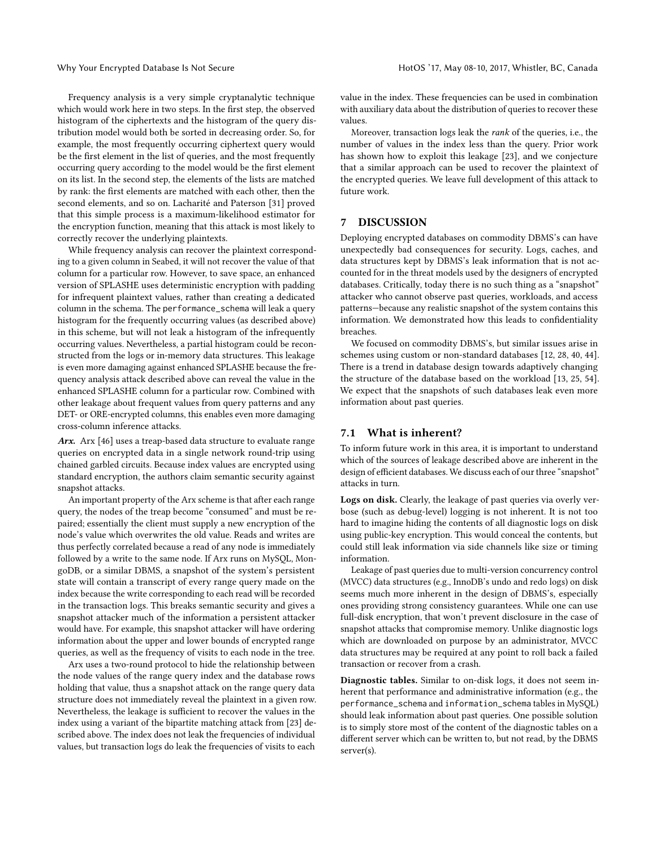Frequency analysis is a very simple cryptanalytic technique which would work here in two steps. In the first step, the observed histogram of the ciphertexts and the histogram of the query distribution model would both be sorted in decreasing order. So, for example, the most frequently occurring ciphertext query would be the first element in the list of queries, and the most frequently occurring query according to the model would be the first element on its list. In the second step, the elements of the lists are matched by rank: the first elements are matched with each other, then the second elements, and so on. Lacharité and Paterson [\[31\]](#page-6-37) proved that this simple process is a maximum-likelihood estimator for the encryption function, meaning that this attack is most likely to correctly recover the underlying plaintexts.

While frequency analysis can recover the plaintext corresponding to a given column in Seabed, it will not recover the value of that column for a particular row. However, to save space, an enhanced version of SPLASHE uses deterministic encryption with padding for infrequent plaintext values, rather than creating a dedicated column in the schema. The performance\_schema will leak a query histogram for the frequently occurring values (as described above) in this scheme, but will not leak a histogram of the infrequently occurring values. Nevertheless, a partial histogram could be reconstructed from the logs or in-memory data structures. This leakage is even more damaging against enhanced SPLASHE because the frequency analysis attack described above can reveal the value in the enhanced SPLASHE column for a particular row. Combined with other leakage about frequent values from query patterns and any DET- or ORE-encrypted columns, this enables even more damaging cross-column inference attacks.

Arx. Arx [\[46\]](#page-6-1) uses a treap-based data structure to evaluate range queries on encrypted data in a single network round-trip using chained garbled circuits. Because index values are encrypted using standard encryption, the authors claim semantic security against snapshot attacks.

An important property of the Arx scheme is that after each range query, the nodes of the treap become "consumed" and must be repaired; essentially the client must supply a new encryption of the node's value which overwrites the old value. Reads and writes are thus perfectly correlated because a read of any node is immediately followed by a write to the same node. If Arx runs on MySQL, MongoDB, or a similar DBMS, a snapshot of the system's persistent state will contain a transcript of every range query made on the index because the write corresponding to each read will be recorded in the transaction logs. This breaks semantic security and gives a snapshot attacker much of the information a persistent attacker would have. For example, this snapshot attacker will have ordering information about the upper and lower bounds of encrypted range queries, as well as the frequency of visits to each node in the tree.

Arx uses a two-round protocol to hide the relationship between the node values of the range query index and the database rows holding that value, thus a snapshot attack on the range query data structure does not immediately reveal the plaintext in a given row. Nevertheless, the leakage is sufficient to recover the values in the index using a variant of the bipartite matching attack from [\[23\]](#page-6-5) described above. The index does not leak the frequencies of individual values, but transaction logs do leak the frequencies of visits to each

value in the index. These frequencies can be used in combination with auxiliary data about the distribution of queries to recover these values.

Moreover, transaction logs leak the rank of the queries, i.e., the number of values in the index less than the query. Prior work has shown how to exploit this leakage [\[23\]](#page-6-5), and we conjecture that a similar approach can be used to recover the plaintext of the encrypted queries. We leave full development of this attack to future work.

# 7 DISCUSSION

Deploying encrypted databases on commodity DBMS's can have unexpectedly bad consequences for security. Logs, caches, and data structures kept by DBMS's leak information that is not accounted for in the threat models used by the designers of encrypted databases. Critically, today there is no such thing as a "snapshot" attacker who cannot observe past queries, workloads, and access patterns—because any realistic snapshot of the system contains this information. We demonstrated how this leads to confidentiality breaches.

We focused on commodity DBMS's, but similar issues arise in schemes using custom or non-standard databases [\[12,](#page-5-13) [28,](#page-6-38) [40,](#page-6-39) [44\]](#page-6-40). There is a trend in database design towards adaptively changing the structure of the database based on the workload [\[13,](#page-5-14) [25,](#page-6-41) [54\]](#page-6-42). We expect that the snapshots of such databases leak even more information about past queries.

#### 7.1 What is inherent?

To inform future work in this area, it is important to understand which of the sources of leakage described above are inherent in the design of efficient databases. We discuss each of our three "snapshot" attacks in turn.

Logs on disk. Clearly, the leakage of past queries via overly verbose (such as debug-level) logging is not inherent. It is not too hard to imagine hiding the contents of all diagnostic logs on disk using public-key encryption. This would conceal the contents, but could still leak information via side channels like size or timing information.

Leakage of past queries due to multi-version concurrency control (MVCC) data structures (e.g., InnoDB's undo and redo logs) on disk seems much more inherent in the design of DBMS's, especially ones providing strong consistency guarantees. While one can use full-disk encryption, that won't prevent disclosure in the case of snapshot attacks that compromise memory. Unlike diagnostic logs which are downloaded on purpose by an administrator, MVCC data structures may be required at any point to roll back a failed transaction or recover from a crash.

Diagnostic tables. Similar to on-disk logs, it does not seem inherent that performance and administrative information (e.g., the performance\_schema and information\_schema tables in MySQL) should leak information about past queries. One possible solution is to simply store most of the content of the diagnostic tables on a different server which can be written to, but not read, by the DBMS server(s).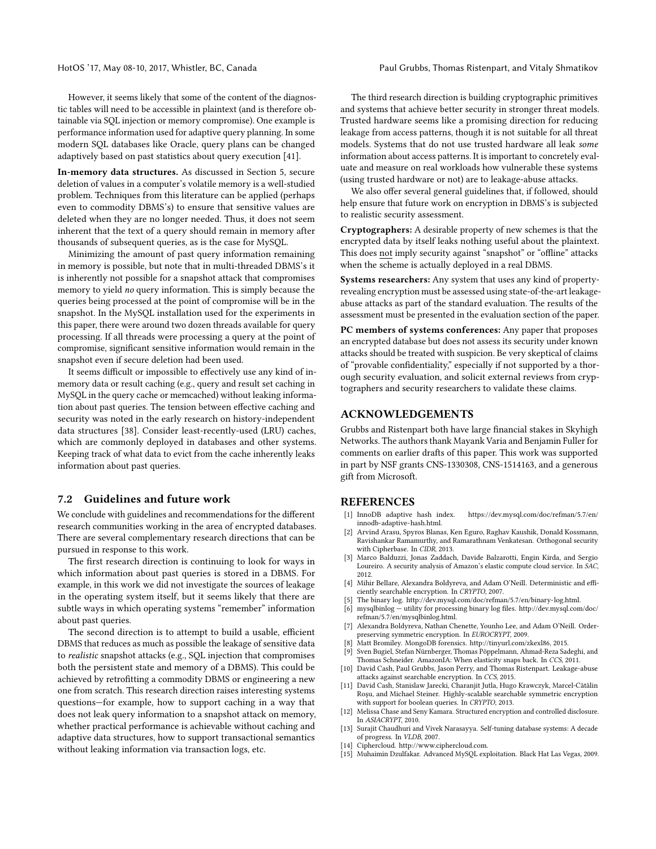However, it seems likely that some of the content of the diagnostic tables will need to be accessible in plaintext (and is therefore obtainable via SQL injection or memory compromise). One example is performance information used for adaptive query planning. In some modern SQL databases like Oracle, query plans can be changed adaptively based on past statistics about query execution [\[41\]](#page-6-43).

In-memory data structures. As discussed in Section [5,](#page-2-2) secure deletion of values in a computer's volatile memory is a well-studied problem. Techniques from this literature can be applied (perhaps even to commodity DBMS's) to ensure that sensitive values are deleted when they are no longer needed. Thus, it does not seem inherent that the text of a query should remain in memory after thousands of subsequent queries, as is the case for MySQL.

Minimizing the amount of past query information remaining in memory is possible, but note that in multi-threaded DBMS's it is inherently not possible for a snapshot attack that compromises memory to yield no query information. This is simply because the queries being processed at the point of compromise will be in the snapshot. In the MySQL installation used for the experiments in this paper, there were around two dozen threads available for query processing. If all threads were processing a query at the point of compromise, significant sensitive information would remain in the snapshot even if secure deletion had been used.

It seems difficult or impossible to effectively use any kind of inmemory data or result caching (e.g., query and result set caching in MySQL in the query cache or memcached) without leaking information about past queries. The tension between effective caching and security was noted in the early research on history-independent data structures [\[38\]](#page-6-44). Consider least-recently-used (LRU) caches, which are commonly deployed in databases and other systems. Keeping track of what data to evict from the cache inherently leaks information about past queries.

#### 7.2 Guidelines and future work

We conclude with guidelines and recommendations for the different research communities working in the area of encrypted databases. There are several complementary research directions that can be pursued in response to this work.

The first research direction is continuing to look for ways in which information about past queries is stored in a DBMS. For example, in this work we did not investigate the sources of leakage in the operating system itself, but it seems likely that there are subtle ways in which operating systems "remember" information about past queries.

The second direction is to attempt to build a usable, efficient DBMS that reduces as much as possible the leakage of sensitive data to realistic snapshot attacks (e.g., SQL injection that compromises both the persistent state and memory of a DBMS). This could be achieved by retrofitting a commodity DBMS or engineering a new one from scratch. This research direction raises interesting systems questions—for example, how to support caching in a way that does not leak query information to a snapshot attack on memory, whether practical performance is achievable without caching and adaptive data structures, how to support transactional semantics without leaking information via transaction logs, etc.

The third research direction is building cryptographic primitives and systems that achieve better security in stronger threat models. Trusted hardware seems like a promising direction for reducing leakage from access patterns, though it is not suitable for all threat models. Systems that do not use trusted hardware all leak some information about access patterns. It is important to concretely evaluate and measure on real workloads how vulnerable these systems (using trusted hardware or not) are to leakage-abuse attacks.

We also offer several general guidelines that, if followed, should help ensure that future work on encryption in DBMS's is subjected to realistic security assessment.

Cryptographers: A desirable property of new schemes is that the encrypted data by itself leaks nothing useful about the plaintext. This does not imply security against "snapshot" or "offline" attacks when the scheme is actually deployed in a real DBMS.

Systems researchers: Any system that uses any kind of propertyrevealing encryption must be assessed using state-of-the-art leakageabuse attacks as part of the standard evaluation. The results of the assessment must be presented in the evaluation section of the paper.

PC members of systems conferences: Any paper that proposes an encrypted database but does not assess its security under known attacks should be treated with suspicion. Be very skeptical of claims of "provable confidentiality," especially if not supported by a thorough security evaluation, and solicit external reviews from cryptographers and security researchers to validate these claims.

### ACKNOWLEDGEMENTS

Grubbs and Ristenpart both have large financial stakes in Skyhigh Networks. The authors thank Mayank Varia and Benjamin Fuller for comments on earlier drafts of this paper. This work was supported in part by NSF grants CNS-1330308, CNS-1514163, and a generous gift from Microsoft.

#### REFERENCES

- <span id="page-5-12"></span>[1] InnoDB adaptive hash index. [https://dev.mysql.com/doc/refman/5.7/en/](https://dev.mysql.com/doc/refman/5.7/en/innodb-adaptive-hash.html) [innodb-adaptive-hash.html.](https://dev.mysql.com/doc/refman/5.7/en/innodb-adaptive-hash.html)
- <span id="page-5-6"></span>[2] Arvind Arasu, Spyros Blanas, Ken Eguro, Raghav Kaushik, Donald Kossmann, Ravishankar Ramamurthy, and Ramarathnam Venkatesan. Orthogonal security with Cipherbase. In CIDR, 2013.
- <span id="page-5-8"></span>[3] Marco Balduzzi, Jonas Zaddach, Davide Balzarotti, Engin Kirda, and Sergio Loureiro. A security analysis of Amazon's elastic compute cloud service. In SAC, 2012.
- <span id="page-5-2"></span>[4] Mihir Bellare, Alexandra Boldyreva, and Adam O'Neill. Deterministic and efficiently searchable encryption. In CRYPTO, 2007.
- <span id="page-5-11"></span><span id="page-5-10"></span>[5] The binary log. [http://dev.mysql.com/doc/refman/5.7/en/binary-log.html.](http://dev.mysql.com/doc/refman/5.7/en/binary-log.html) [6] mysqlbinlog — utility for processing binary log files. [http://dev.mysql.com/doc/](http://dev.mysql.com/doc/refman/5.7/en/mysqlbinlog.html)
- [refman/5.7/en/mysqlbinlog.html.](http://dev.mysql.com/doc/refman/5.7/en/mysqlbinlog.html)
- <span id="page-5-4"></span>[7] Alexandra Boldyreva, Nathan Chenette, Younho Lee, and Adam O'Neill. Orderpreserving symmetric encryption. In EUROCRYPT, 2009.
- <span id="page-5-5"></span>Matt Bromiley. MongoDB forensics. [http://tinyurl.com/zkexl86,](http://tinyurl.com/zkexl86) 2015.
- <span id="page-5-9"></span>Sven Bugiel, Stefan Nürnberger, Thomas Pöppelmann, Ahmad-Reza Sadeghi, and Thomas Schneider. AmazonIA: When elasticity snaps back. In CCS, 2011.
- <span id="page-5-1"></span>[10] David Cash, Paul Grubbs, Jason Perry, and Thomas Ristenpart. Leakage-abuse attacks against searchable encryption. In CCS, 2015.
- <span id="page-5-3"></span>[11] David Cash, Stanislaw Jarecki, Charanjit Jutla, Hugo Krawczyk, Marcel-Cătălin Roşu, and Michael Steiner. Highly-scalable searchable symmetric encryption with support for boolean queries. In CRYPTO, 2013.
- <span id="page-5-13"></span>[12] Melissa Chase and Seny Kamara. Structured encryption and controlled disclosure. In ASIACRYPT, 2010.
- <span id="page-5-14"></span>[13] Surajit Chaudhuri and Vivek Narasayya. Self-tuning database systems: A decade of progress. In VLDB, 2007.
- <span id="page-5-0"></span>[14] Ciphercloud. [http://www.ciphercloud.com.](http://www.ciphercloud.com)
- <span id="page-5-7"></span>[15] Muhaimin Dzulfakar. Advanced MySQL exploitation. Black Hat Las Vegas, 2009.